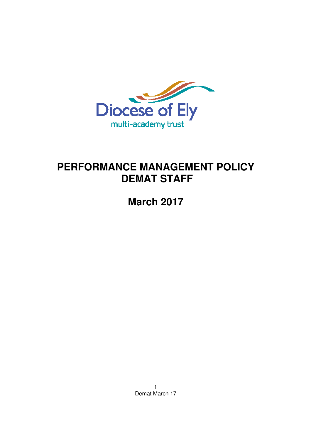

# **PERFORMANCE MANAGEMENT POLICY DEMAT STAFF**

**March 2017** 

1 Demat March 17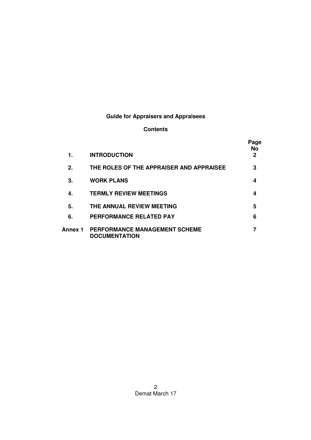## **Guide for Appraisers and Appraisees**

### **Contents**

| 1.      | <b>INTRODUCTION</b>                                   | Page<br>No<br>2 |
|---------|-------------------------------------------------------|-----------------|
| 2.      | THE ROLES OF THE APPRAISER AND APPRAISEE              | 3               |
| З.      | <b>WORK PLANS</b>                                     | 4               |
| 4.      | <b>TERMLY REVIEW MEETINGS</b>                         | 4               |
| 5.      | THE ANNUAL REVIEW MEETING                             | 5               |
| 6.      | <b>PERFORMANCE RELATED PAY</b>                        | 6               |
| Annex 1 | PERFORMANCE MANAGEMENT SCHEME<br><b>DOCUMENTATION</b> |                 |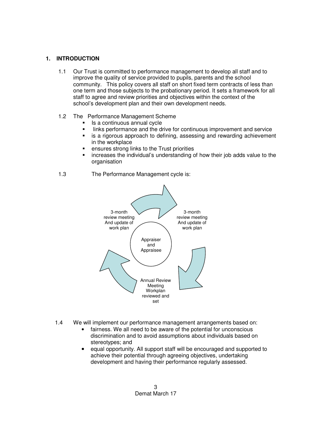#### **1. INTRODUCTION**

- 1.1 Our Trust is committed to performance management to develop all staff and to improve the quality of service provided to pupils, parents and the school community. This policy covers all staff on short fixed term contracts of less than one term and those subjects to the probationary period. It sets a framework for all staff to agree and review priorities and objectives within the context of the school's development plan and their own development needs.
- 1.2 The Performance Management Scheme
	- Is a continuous annual cycle
	- Inks performance and the drive for continuous improvement and service
	- is a rigorous approach to defining, assessing and rewarding achievement in the workplace
	- ensures strong links to the Trust priorities
	- increases the individual's understanding of how their job adds value to the organisation
- 1.3 The Performance Management cycle is:



- 1.4 We will implement our performance management arrangements based on: • fairness. We all need to be aware of the potential for unconscious discrimination and to avoid assumptions about individuals based on
	- stereotypes; and • equal opportunity. All support staff will be encouraged and supported to achieve their potential through agreeing objectives, undertaking
		- development and having their performance regularly assessed.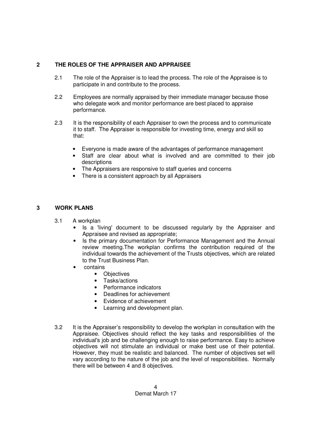#### **2 THE ROLES OF THE APPRAISER AND APPRAISEE**

- 2.1 The role of the Appraiser is to lead the process. The role of the Appraisee is to participate in and contribute to the process.
- 2.2 Employees are normally appraised by their immediate manager because those who delegate work and monitor performance are best placed to appraise performance.
- 2.3 It is the responsibility of each Appraiser to own the process and to communicate it to staff. The Appraiser is responsible for investing time, energy and skill so that:
	- Everyone is made aware of the advantages of performance management
	- Staff are clear about what is involved and are committed to their job descriptions
	- The Appraisers are responsive to staff queries and concerns
	- There is a consistent approach by all Appraisers

#### **3 WORK PLANS**

- 3.1 A workplan
	- Is a 'living' document to be discussed regularly by the Appraiser and Appraisee and revised as appropriate;
	- Is the primary documentation for Performance Management and the Annual review meeting.The workplan confirms the contribution required of the individual towards the achievement of the Trusts objectives, which are related to the Trust Business Plan.
	- contains
		- Objectives
		- Tasks/actions
		- Performance indicators
		- Deadlines for achievement
		- Evidence of achievement
		- Learning and development plan.
- 3.2 It is the Appraiser's responsibility to develop the workplan in consultation with the Appraisee. Objectives should reflect the key tasks and responsibilities of the individual's job and be challenging enough to raise performance. Easy to achieve objectives will not stimulate an individual or make best use of their potential. However, they must be realistic and balanced. The number of objectives set will vary according to the nature of the job and the level of responsibilities. Normally there will be between 4 and 8 objectives.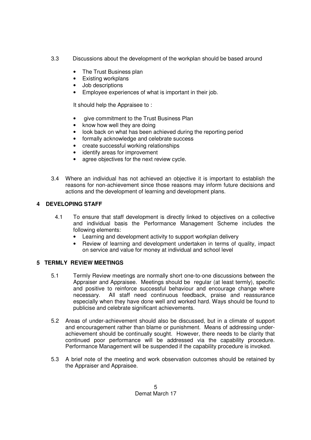- 3.3 Discussions about the development of the workplan should be based around
	- The Trust Business plan
	- Existing workplans
	- Job descriptions
	- Employee experiences of what is important in their job.

It should help the Appraisee to :

- give commitment to the Trust Business Plan
- know how well they are doing
- look back on what has been achieved during the reporting period
- formally acknowledge and celebrate success
- create successful working relationships
- identify areas for improvement
- agree objectives for the next review cycle.
- 3.4 Where an individual has not achieved an objective it is important to establish the reasons for non-achievement since those reasons may inform future decisions and actions and the development of learning and development plans.

### **4 DEVELOPING STAFF**

- 4.1 To ensure that staff development is directly linked to objectives on a collective and individual basis the Performance Management Scheme includes the following elements:
	- Learning and development activity to support workplan delivery
	- Review of learning and development undertaken in terms of quality, impact on service and value for money at individual and school level

#### **5 TERMLY REVIEW MEETINGS**

- 5.1 Termly Review meetings are normally short one-to-one discussions between the Appraiser and Appraisee. Meetings should be regular (at least termly), specific and positive to reinforce successful behaviour and encourage change where necessary. All staff need continuous feedback, praise and reassurance especially when they have done well and worked hard. Ways should be found to publicise and celebrate significant achievements.
- 5.2 Areas of under-achievement should also be discussed, but in a climate of support and encouragement rather than blame or punishment. Means of addressing underachievement should be continually sought. However, there needs to be clarity that continued poor performance will be addressed via the capability procedure. Performance Management will be suspended if the capability procedure is invoked.
- 5.3 A brief note of the meeting and work observation outcomes should be retained by the Appraiser and Appraisee.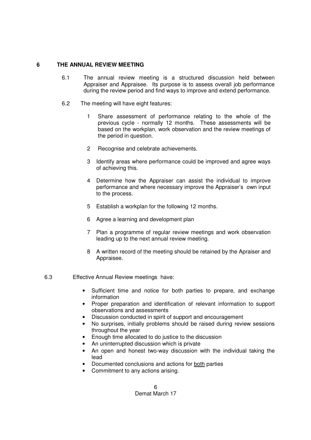#### **6 THE ANNUAL REVIEW MEETING**

- 6.1 The annual review meeting is a structured discussion held between Appraiser and Appraisee. Its purpose is to assess overall job performance during the review period and find ways to improve and extend performance.
- 6.2 The meeting will have eight features:
	- 1 Share assessment of performance relating to the whole of the previous cycle - normally 12 months. These assessments will be based on the workplan, work observation and the review meetings of the period in question.
	- 2 Recognise and celebrate achievements.
	- 3 Identify areas where performance could be improved and agree ways of achieving this.
	- 4 Determine how the Appraiser can assist the individual to improve performance and where necessary improve the Appraiser's own input to the process.
	- 5 Establish a workplan for the following 12 months.
	- 6 Agree a learning and development plan
	- 7 Plan a programme of regular review meetings and work observation leading up to the next annual review meeting.
	- 8 A written record of the meeting should be retained by the Apraiser and Appraisee.
- 6.3 Effective Annual Review meetings have:
	- Sufficient time and notice for both parties to prepare, and exchange information
	- Proper preparation and identification of relevant information to support observations and assessments
	- Discussion conducted in spirit of support and encouragement
	- No surprises, initially problems should be raised during review sessions throughout the year
	- Enough time allocated to do justice to the discussion
	- An uninterrupted discussion which is private
	- An open and honest two-way discussion with the individual taking the lead
	- Documented conclusions and actions for both parties
	- Commitment to any actions arising.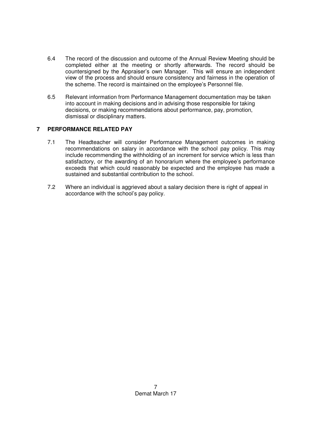- 6.4 The record of the discussion and outcome of the Annual Review Meeting should be completed either at the meeting or shortly afterwards. The record should be countersigned by the Appraiser's own Manager. This will ensure an independent view of the process and should ensure consistency and fairness in the operation of the scheme. The record is maintained on the employee's Personnel file.
- 6.5 Relevant information from Performance Management documentation may be taken into account in making decisions and in advising those responsible for taking decisions, or making recommendations about performance, pay, promotion, dismissal or disciplinary matters.

#### **7 PERFORMANCE RELATED PAY**

- 7.1 The Headteacher will consider Performance Management outcomes in making recommendations on salary in accordance with the school pay policy. This may include recommending the withholding of an increment for service which is less than satisfactory, or the awarding of an honorarium where the employee's performance exceeds that which could reasonably be expected and the employee has made a sustained and substantial contribution to the school.
- 7.2 Where an individual is aggrieved about a salary decision there is right of appeal in accordance with the school's pay policy.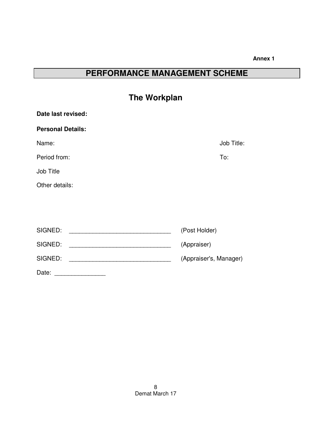#### **Annex 1**

# **PERFORMANCE MANAGEMENT SCHEME**

| <b>The Workplan</b>                                                      |                        |
|--------------------------------------------------------------------------|------------------------|
| Date last revised:                                                       |                        |
| <b>Personal Details:</b>                                                 |                        |
| Name:                                                                    | Job Title:             |
| Period from:                                                             | To:                    |
| Job Title                                                                |                        |
| Other details:                                                           |                        |
|                                                                          |                        |
|                                                                          |                        |
| SIGNED:                                                                  | (Post Holder)          |
| SIGNED:<br><u> 2008 - Johann Barbara, martin da kasas a shekara 1980</u> | (Appraiser)            |
| SIGNED:                                                                  | (Appraiser's, Manager) |
|                                                                          |                        |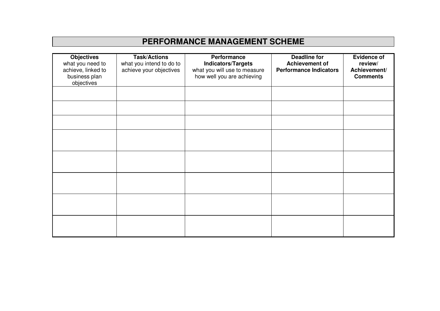# **PERFORMANCE MANAGEMENT SCHEME**

| <b>Objectives</b><br>what you need to<br>achieve, linked to<br>business plan<br>objectives | <b>Task/Actions</b><br>what you intend to do to<br>achieve your objectives | Performance<br><b>Indicators/Targets</b><br>what you will use to measure<br>how well you are achieving | <b>Deadline for</b><br><b>Achievement of</b><br><b>Performance Indicators</b> | <b>Evidence of</b><br>review/<br>Achievement/<br><b>Comments</b> |
|--------------------------------------------------------------------------------------------|----------------------------------------------------------------------------|--------------------------------------------------------------------------------------------------------|-------------------------------------------------------------------------------|------------------------------------------------------------------|
|                                                                                            |                                                                            |                                                                                                        |                                                                               |                                                                  |
|                                                                                            |                                                                            |                                                                                                        |                                                                               |                                                                  |
|                                                                                            |                                                                            |                                                                                                        |                                                                               |                                                                  |
|                                                                                            |                                                                            |                                                                                                        |                                                                               |                                                                  |
|                                                                                            |                                                                            |                                                                                                        |                                                                               |                                                                  |
|                                                                                            |                                                                            |                                                                                                        |                                                                               |                                                                  |
|                                                                                            |                                                                            |                                                                                                        |                                                                               |                                                                  |
|                                                                                            |                                                                            |                                                                                                        |                                                                               |                                                                  |
|                                                                                            |                                                                            |                                                                                                        |                                                                               |                                                                  |
|                                                                                            |                                                                            |                                                                                                        |                                                                               |                                                                  |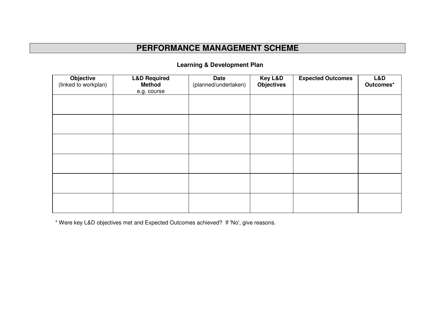## **PERFORMANCE MANAGEMENT SCHEME**

| <b>Objective</b><br>(linked to workplan) | <b>L&amp;D Required</b><br><b>Method</b><br>e.g. course | <b>Date</b><br>(planned/undertaken) | Key L&D<br><b>Objectives</b> | <b>Expected Outcomes</b> | L&D<br>Outcomes* |
|------------------------------------------|---------------------------------------------------------|-------------------------------------|------------------------------|--------------------------|------------------|
|                                          |                                                         |                                     |                              |                          |                  |
|                                          |                                                         |                                     |                              |                          |                  |
|                                          |                                                         |                                     |                              |                          |                  |
|                                          |                                                         |                                     |                              |                          |                  |
|                                          |                                                         |                                     |                              |                          |                  |
|                                          |                                                         |                                     |                              |                          |                  |

### **Learning & Development Plan**

\* Were key L&D objectives met and Expected Outcomes achieved? If 'No', give reasons.